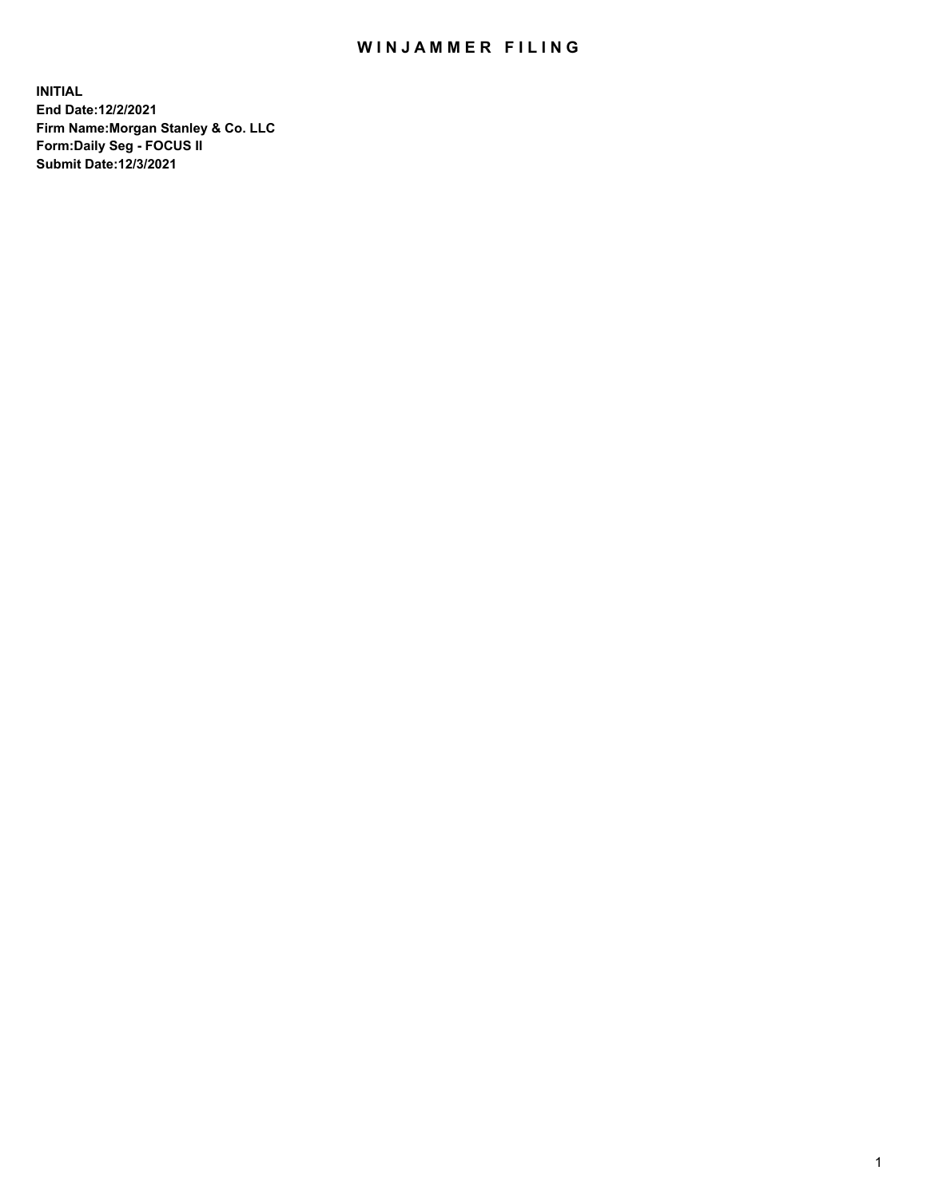## WIN JAMMER FILING

**INITIAL End Date:12/2/2021 Firm Name:Morgan Stanley & Co. LLC Form:Daily Seg - FOCUS II Submit Date:12/3/2021**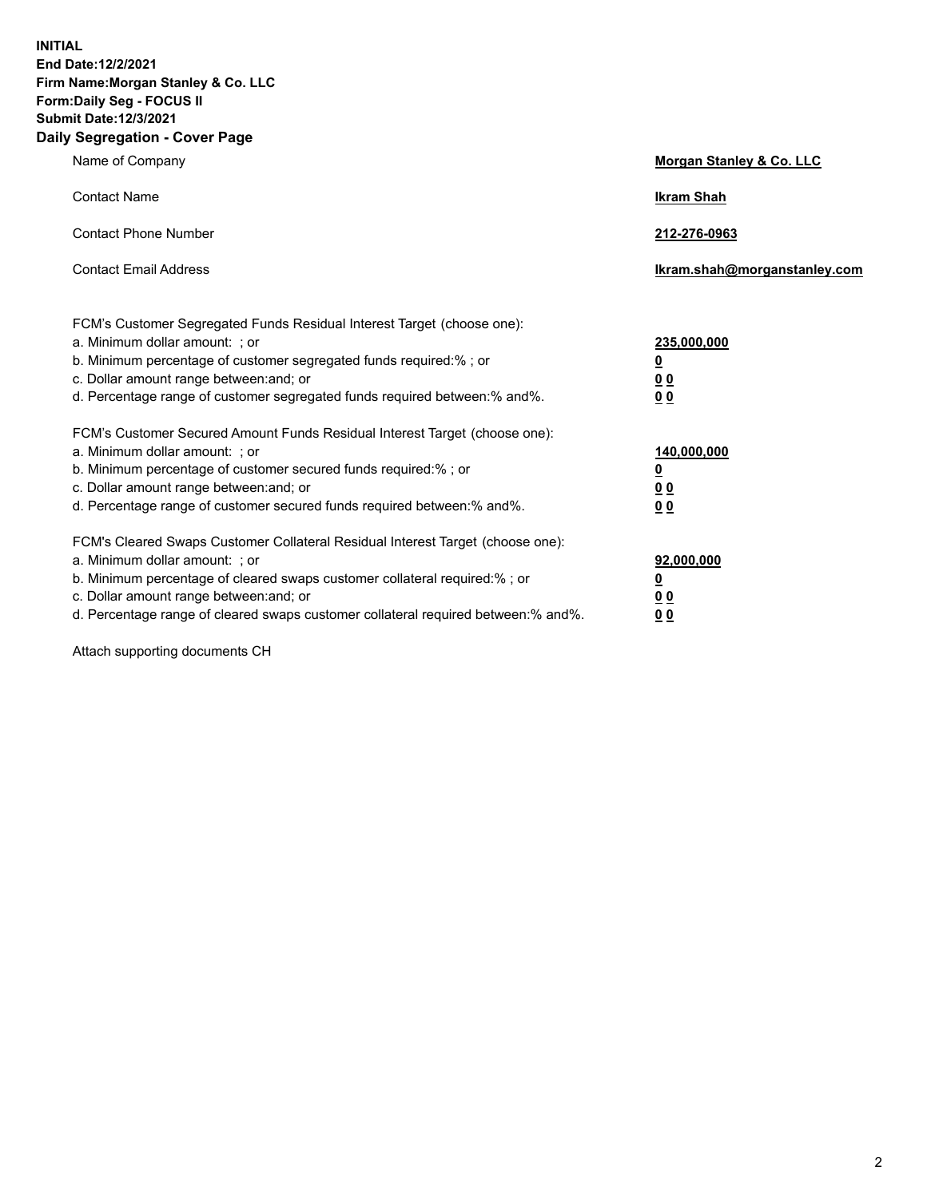**INITIAL End Date:12/2/2021 Firm Name:Morgan Stanley & Co. LLC Form:Daily Seg - FOCUS II Submit Date:12/3/2021 Daily Segregation - Cover Page**

| Name of Company                                                                                                                                                                                                                                                                                                                | <b>Morgan Stanley &amp; Co. LLC</b>                    |
|--------------------------------------------------------------------------------------------------------------------------------------------------------------------------------------------------------------------------------------------------------------------------------------------------------------------------------|--------------------------------------------------------|
| <b>Contact Name</b>                                                                                                                                                                                                                                                                                                            | <b>Ikram Shah</b>                                      |
| <b>Contact Phone Number</b>                                                                                                                                                                                                                                                                                                    | 212-276-0963                                           |
| <b>Contact Email Address</b>                                                                                                                                                                                                                                                                                                   | Ikram.shah@morganstanley.com                           |
| FCM's Customer Segregated Funds Residual Interest Target (choose one):<br>a. Minimum dollar amount: : or<br>b. Minimum percentage of customer segregated funds required:%; or<br>c. Dollar amount range between: and; or<br>d. Percentage range of customer segregated funds required between:% and%.                          | 235,000,000<br><u>0</u><br><u>00</u><br><u>00</u>      |
| FCM's Customer Secured Amount Funds Residual Interest Target (choose one):<br>a. Minimum dollar amount: ; or<br>b. Minimum percentage of customer secured funds required:%; or<br>c. Dollar amount range between: and; or<br>d. Percentage range of customer secured funds required between:% and%.                            | 140,000,000<br><u>0</u><br><u>00</u><br>0 <sub>0</sub> |
| FCM's Cleared Swaps Customer Collateral Residual Interest Target (choose one):<br>a. Minimum dollar amount: ; or<br>b. Minimum percentage of cleared swaps customer collateral required:% ; or<br>c. Dollar amount range between: and; or<br>d. Percentage range of cleared swaps customer collateral required between:% and%. | 92,000,000<br><u>0</u><br><u>00</u><br>00              |

Attach supporting documents CH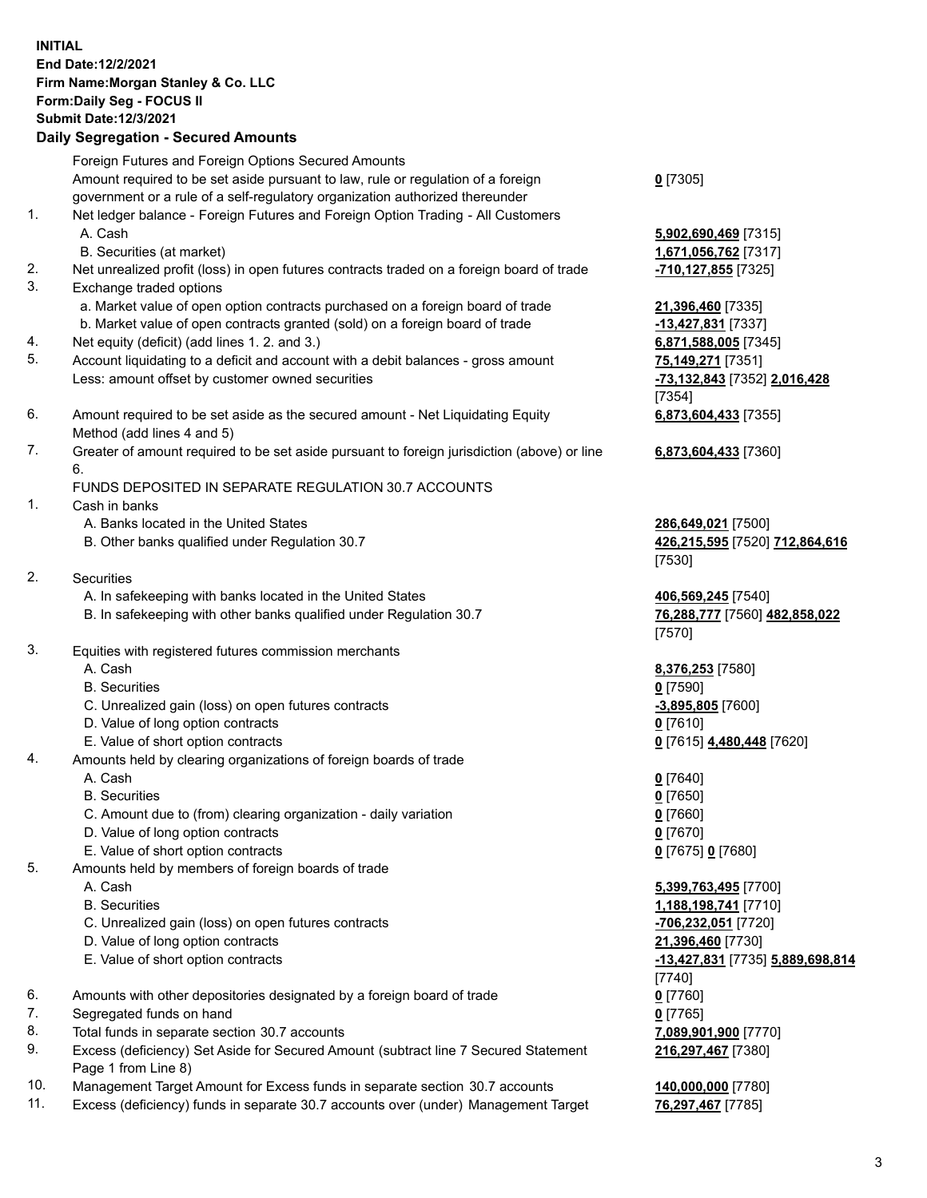## **INITIAL End Date:12/2/2021 Firm Name:Morgan Stanley & Co. LLC Form:Daily Seg - FOCUS II Submit Date:12/3/2021**

**Daily Segregation - Secured Amounts** Foreign Futures and Foreign Options Secured Amounts Amount required to be set aside pursuant to law, rule or regulation of a foreign government or a rule of a self-regulatory organization authorized thereunder 1. Net ledger balance - Foreign Futures and Foreign Option Trading - All Customers A. Cash **5,902,690,469** [7315] B. Securities (at market) **1,671,056,762** [7317] 2. Net unrealized profit (loss) in open futures contracts traded on a foreign board of trade **-710,127,855** [7325] 3. Exchange traded options a. Market value of open option contracts purchased on a foreign board of trade **21,396,460** [7335] b. Market value of open contracts granted (sold) on a foreign board of trade **-13,427,831** [7337] 4. Net equity (deficit) (add lines 1. 2. and 3.) **6,871,588,005** [7345] 5. Account liquidating to a deficit and account with a debit balances - gross amount **75,149,271** [7351] Less: amount offset by customer owned securities **-73,132,843** [7352] **2,016,428** 6. Amount required to be set aside as the secured amount - Net Liquidating Equity Method (add lines 4 and 5) 7. Greater of amount required to be set aside pursuant to foreign jurisdiction (above) or line 6. FUNDS DEPOSITED IN SEPARATE REGULATION 30.7 ACCOUNTS 1. Cash in banks A. Banks located in the United States **286,649,021** [7500] B. Other banks qualified under Regulation 30.7 **426,215,595** [7520] **712,864,616** 2. Securities A. In safekeeping with banks located in the United States **406,569,245** [7540] B. In safekeeping with other banks qualified under Regulation 30.7 **76,288,777** [7560] **482,858,022** 3. Equities with registered futures commission merchants A. Cash **8,376,253** [7580] B. Securities **0** [7590] C. Unrealized gain (loss) on open futures contracts **-3,895,805** [7600] D. Value of long option contracts **0** [7610] E. Value of short option contracts **0** [7615] **4,480,448** [7620] 4. Amounts held by clearing organizations of foreign boards of trade A. Cash **0** [7640] B. Securities **0** [7650] C. Amount due to (from) clearing organization - daily variation **0** [7660] D. Value of long option contracts **0** [7670] E. Value of short option contracts **0** [7675] **0** [7680] 5. Amounts held by members of foreign boards of trade A. Cash **5,399,763,495** [7700] B. Securities **1,188,198,741** [7710] C. Unrealized gain (loss) on open futures contracts **-706,232,051** [7720] D. Value of long option contracts **21,396,460** [7730]

- E. Value of short option contracts **-13,427,831** [7735] **5,889,698,814**
- 6. Amounts with other depositories designated by a foreign board of trade **0** [7760]
- 7. Segregated funds on hand **0** [7765]
- 8. Total funds in separate section 30.7 accounts **7,089,901,900** [7770]
- 9. Excess (deficiency) Set Aside for Secured Amount (subtract line 7 Secured Statement Page 1 from Line 8)
- 10. Management Target Amount for Excess funds in separate section 30.7 accounts **140,000,000** [7780]
- 11. Excess (deficiency) funds in separate 30.7 accounts over (under) Management Target **76,297,467** [7785]

**0** [7305]

[7354] **6,873,604,433** [7355]

**6,873,604,433** [7360]

[7530]

[7570]

[7740] **216,297,467** [7380]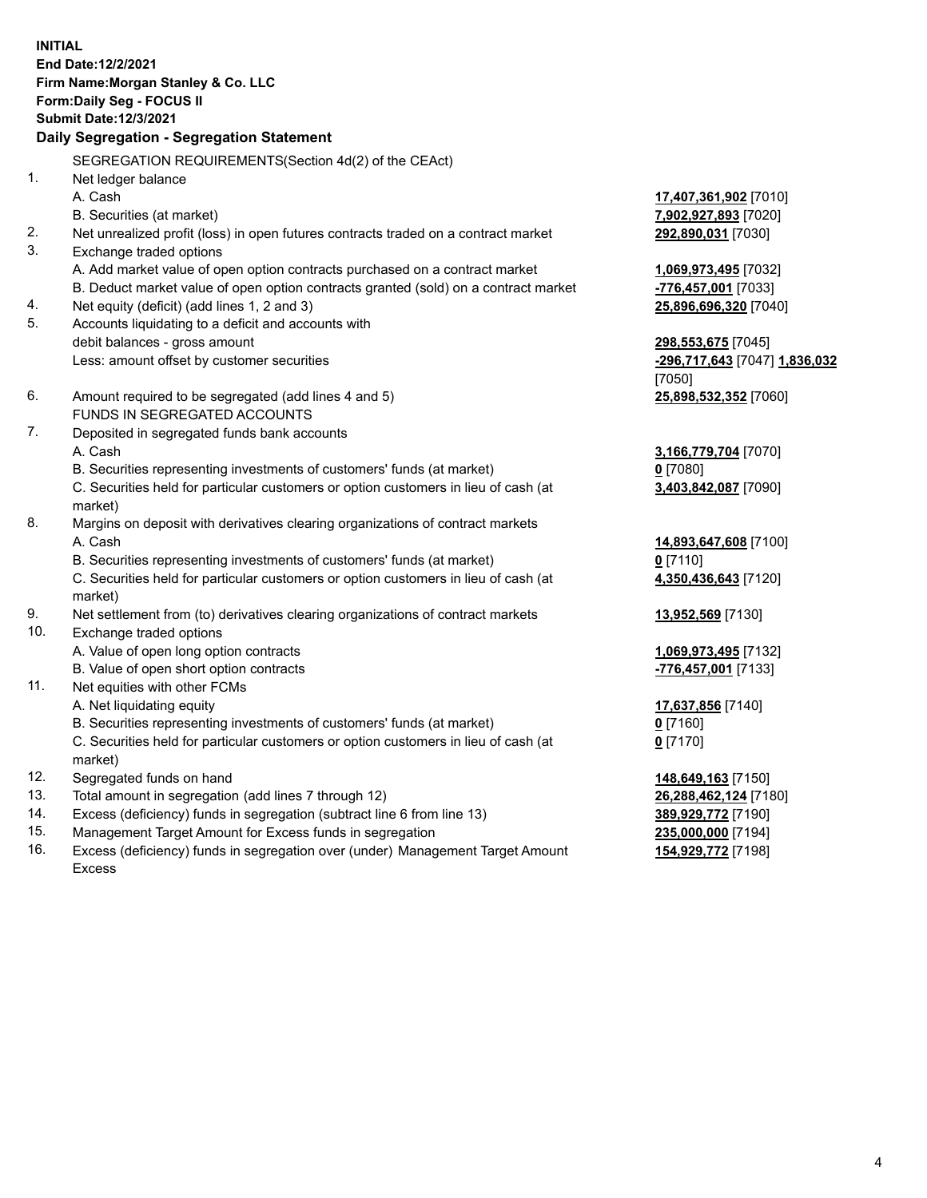**INITIAL End Date:12/2/2021 Firm Name:Morgan Stanley & Co. LLC Form:Daily Seg - FOCUS II Submit Date:12/3/2021 Daily Segregation - Segregation Statement** SEGREGATION REQUIREMENTS(Section 4d(2) of the CEAct) 1. Net ledger balance A. Cash **17,407,361,902** [7010] B. Securities (at market) **7,902,927,893** [7020] 2. Net unrealized profit (loss) in open futures contracts traded on a contract market **292,890,031** [7030] 3. Exchange traded options A. Add market value of open option contracts purchased on a contract market **1,069,973,495** [7032] B. Deduct market value of open option contracts granted (sold) on a contract market **-776,457,001** [7033] 4. Net equity (deficit) (add lines 1, 2 and 3) **25,896,696,320** [7040] 5. Accounts liquidating to a deficit and accounts with debit balances - gross amount **298,553,675** [7045] Less: amount offset by customer securities **-296,717,643** [7047] **1,836,032** [7050] 6. Amount required to be segregated (add lines 4 and 5) **25,898,532,352** [7060] FUNDS IN SEGREGATED ACCOUNTS 7. Deposited in segregated funds bank accounts A. Cash **3,166,779,704** [7070] B. Securities representing investments of customers' funds (at market) **0** [7080] C. Securities held for particular customers or option customers in lieu of cash (at market) **3,403,842,087** [7090] 8. Margins on deposit with derivatives clearing organizations of contract markets A. Cash **14,893,647,608** [7100] B. Securities representing investments of customers' funds (at market) **0** [7110] C. Securities held for particular customers or option customers in lieu of cash (at market) **4,350,436,643** [7120] 9. Net settlement from (to) derivatives clearing organizations of contract markets **13,952,569** [7130] 10. Exchange traded options A. Value of open long option contracts **1,069,973,495** [7132] B. Value of open short option contracts **-776,457,001** [7133] 11. Net equities with other FCMs A. Net liquidating equity **17,637,856** [7140] B. Securities representing investments of customers' funds (at market) **0** [7160] C. Securities held for particular customers or option customers in lieu of cash (at market) **0** [7170] 12. Segregated funds on hand **148,649,163** [7150] 13. Total amount in segregation (add lines 7 through 12) **26,288,462,124** [7180] 14. Excess (deficiency) funds in segregation (subtract line 6 from line 13) **389,929,772** [7190] 15. Management Target Amount for Excess funds in segregation **235,000,000** [7194]

- 16. Excess (deficiency) funds in segregation over (under) Management Target Amount
	- Excess

**154,929,772** [7198]